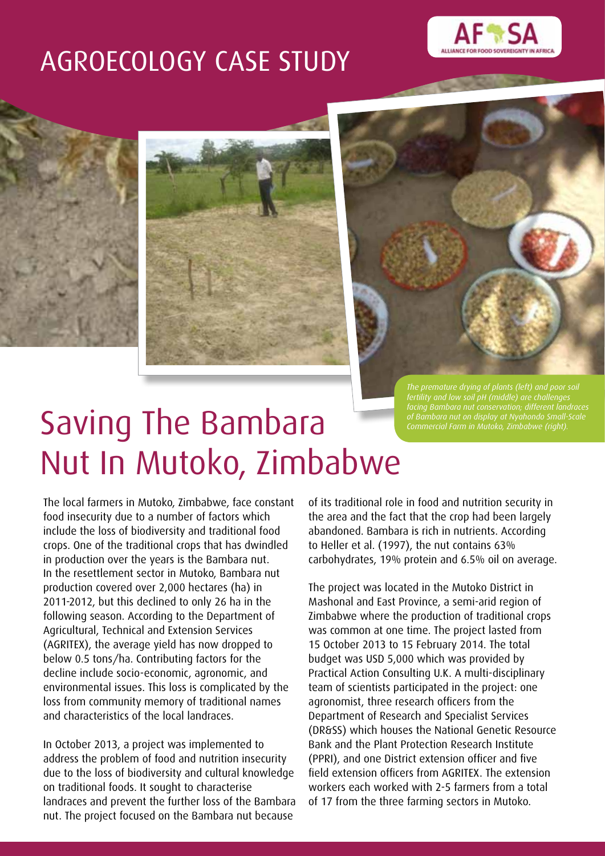## AGROECOLOGY CASE STUDY







*Commercial Farm in Mutoko, Zimbabwe (right).*

# Saving The Bambara Nut In Mutoko, Zimbabwe

The local farmers in Mutoko, Zimbabwe, face constant food insecurity due to a number of factors which include the loss of biodiversity and traditional food crops. One of the traditional crops that has dwindled in production over the years is the Bambara nut. In the resettlement sector in Mutoko, Bambara nut production covered over 2,000 hectares (ha) in 2011-2012, but this declined to only 26 ha in the following season. According to the Department of Agricultural, Technical and Extension Services (AGRITEX), the average yield has now dropped to below 0.5 tons/ha. Contributing factors for the decline include socio-economic, agronomic, and environmental issues. This loss is complicated by the loss from community memory of traditional names and characteristics of the local landraces.

In October 2013, a project was implemented to address the problem of food and nutrition insecurity due to the loss of biodiversity and cultural knowledge on traditional foods. It sought to characterise landraces and prevent the further loss of the Bambara nut. The project focused on the Bambara nut because

of its traditional role in food and nutrition security in the area and the fact that the crop had been largely abandoned. Bambara is rich in nutrients. According to Heller et al. (1997), the nut contains 63% carbohydrates, 19% protein and 6.5% oil on average.

The project was located in the Mutoko District in Mashonal and East Province, a semi-arid region of Zimbabwe where the production of traditional crops was common at one time. The project lasted from 15 October 2013 to 15 February 2014. The total budget was USD 5,000 which was provided by Practical Action Consulting U.K. A multi-disciplinary team of scientists participated in the project: one agronomist, three research officers from the Department of Research and Specialist Services (DR&SS) which houses the National Genetic Resource Bank and the Plant Protection Research Institute (PPRI), and one District extension officer and five field extension officers from AGRITEX. The extension workers each worked with 2-5 farmers from a total of 17 from the three farming sectors in Mutoko.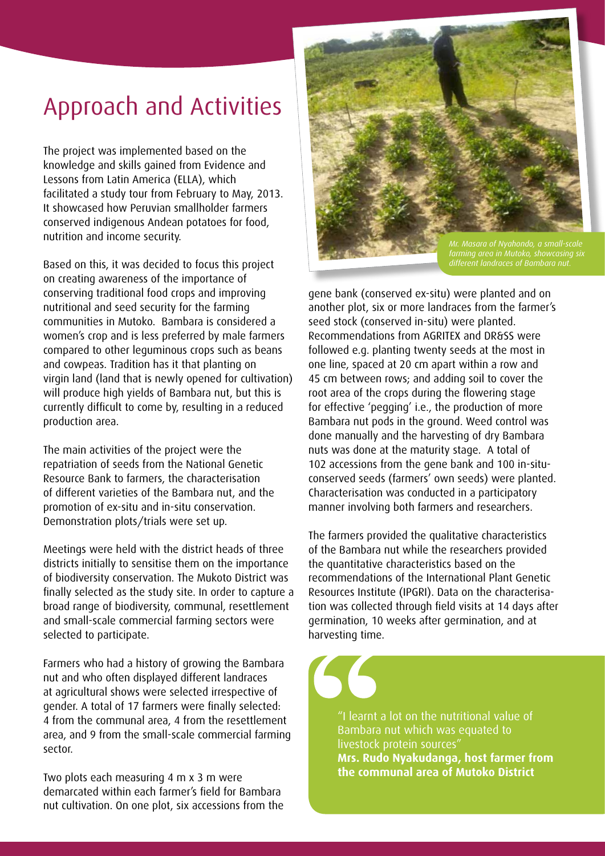## Approach and Activities

The project was implemented based on the knowledge and skills gained from Evidence and Lessons from Latin America (ELLA), which facilitated a study tour from February to May, 2013. It showcased how Peruvian smallholder farmers conserved indigenous Andean potatoes for food, nutrition and income security.

Based on this, it was decided to focus this project on creating awareness of the importance of conserving traditional food crops and improving nutritional and seed security for the farming communities in Mutoko. Bambara is considered a women's crop and is less preferred by male farmers compared to other leguminous crops such as beans and cowpeas. Tradition has it that planting on virgin land (land that is newly opened for cultivation) will produce high yields of Bambara nut, but this is currently difficult to come by, resulting in a reduced production area.

The main activities of the project were the repatriation of seeds from the National Genetic Resource Bank to farmers, the characterisation of different varieties of the Bambara nut, and the promotion of ex-situ and in-situ conservation. Demonstration plots/trials were set up.

Meetings were held with the district heads of three districts initially to sensitise them on the importance of biodiversity conservation. The Mukoto District was finally selected as the study site. In order to capture a broad range of biodiversity, communal, resettlement and small-scale commercial farming sectors were selected to participate.

Farmers who had a history of growing the Bambara nut and who often displayed different landraces at agricultural shows were selected irrespective of gender. A total of 17 farmers were finally selected: 4 from the communal area, 4 from the resettlement area, and 9 from the small-scale commercial farming sector.

Two plots each measuring 4 m x 3 m were demarcated within each farmer's field for Bambara nut cultivation. On one plot, six accessions from the



gene bank (conserved ex-situ) were planted and on another plot, six or more landraces from the farmer's seed stock (conserved in-situ) were planted. Recommendations from AGRITEX and DR&SS were followed e.g. planting twenty seeds at the most in one line, spaced at 20 cm apart within a row and 45 cm between rows; and adding soil to cover the root area of the crops during the flowering stage for effective 'pegging' i.e., the production of more Bambara nut pods in the ground. Weed control was done manually and the harvesting of dry Bambara nuts was done at the maturity stage. A total of 102 accessions from the gene bank and 100 in-situconserved seeds (farmers' own seeds) were planted. Characterisation was conducted in a participatory manner involving both farmers and researchers.

The farmers provided the qualitative characteristics of the Bambara nut while the researchers provided the quantitative characteristics based on the recommendations of the International Plant Genetic Resources Institute (IPGRI). Data on the characterisation was collected through field visits at 14 days after germination, 10 weeks after germination, and at harvesting time.

"I learnt a lot on the nutritional value of Bambara nut which was equated to livestock protein sources" **Mrs. Rudo Nyakudanga, host farmer from the communal area of Mutoko District**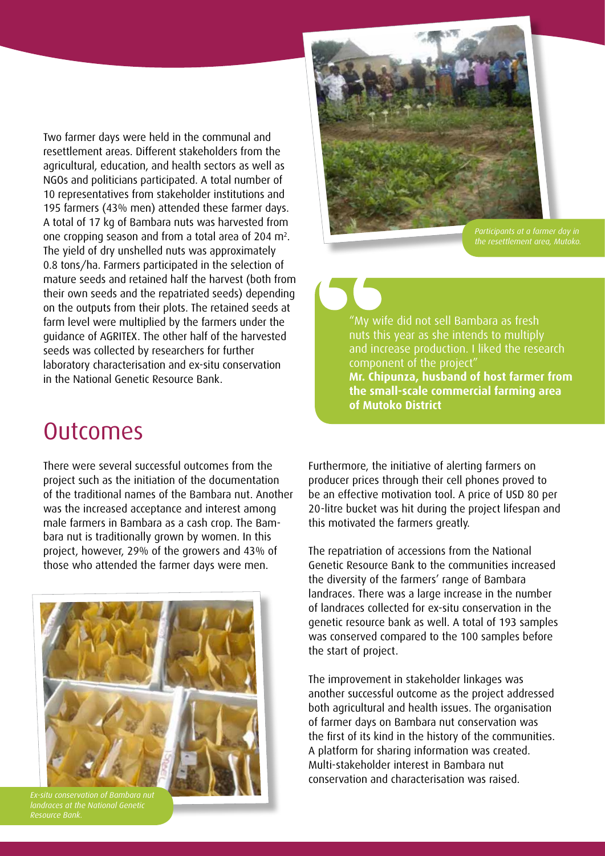Two farmer days were held in the communal and resettlement areas. Different stakeholders from the agricultural, education, and health sectors as well as NGOs and politicians participated. A total number of 10 representatives from stakeholder institutions and 195 farmers (43% men) attended these farmer days. A total of 17 kg of Bambara nuts was harvested from one cropping season and from a total area of 204 m<sup>2</sup>. The yield of dry unshelled nuts was approximately 0.8 tons/ha. Farmers participated in the selection of mature seeds and retained half the harvest (both from their own seeds and the repatriated seeds) depending on the outputs from their plots. The retained seeds at farm level were multiplied by the farmers under the guidance of AGRITEX. The other half of the harvested seeds was collected by researchers for further laboratory characterisation and ex-situ conservation in the National Genetic Resource Bank.

# *Participants at a farmer day in*

"My wife did not sell Bambara as fresh nuts this year as she intends to multiply and increase production. I liked the research component of the project" **Mr. Chipunza, husband of host farmer from the small-scale commercial farming area of Mutoko District**

## **Outcomes**

There were several successful outcomes from the project such as the initiation of the documentation of the traditional names of the Bambara nut. Another was the increased acceptance and interest among male farmers in Bambara as a cash crop. The Bambara nut is traditionally grown by women. In this project, however, 29% of the growers and 43% of those who attended the farmer days were men.



*landraces at the National Genetic* 

Furthermore, the initiative of alerting farmers on producer prices through their cell phones proved to be an effective motivation tool. A price of USD 80 per 20-litre bucket was hit during the project lifespan and this motivated the farmers greatly.

The repatriation of accessions from the National Genetic Resource Bank to the communities increased the diversity of the farmers' range of Bambara landraces. There was a large increase in the number of landraces collected for ex-situ conservation in the genetic resource bank as well. A total of 193 samples was conserved compared to the 100 samples before the start of project.

The improvement in stakeholder linkages was another successful outcome as the project addressed both agricultural and health issues. The organisation of farmer days on Bambara nut conservation was the first of its kind in the history of the communities. A platform for sharing information was created. Multi-stakeholder interest in Bambara nut conservation and characterisation was raised.